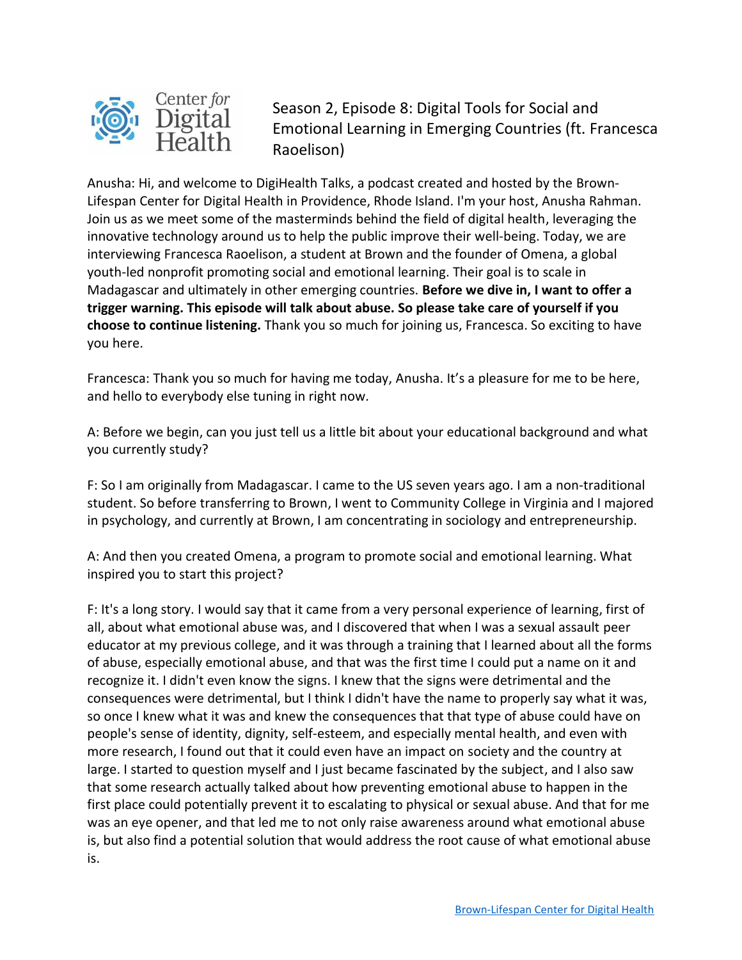

Season 2, Episode 8: Digital Tools for Social and Emotional Learning in Emerging Countries (ft. Francesca Raoelison)

Anusha: Hi, and welcome to DigiHealth Talks, a podcast created and hosted by the Brown-Lifespan Center for Digital Health in Providence, Rhode Island. I'm your host, Anusha Rahman. Join us as we meet some of the masterminds behind the field of digital health, leveraging the innovative technology around us to help the public improve their well-being. Today, we are interviewing Francesca Raoelison, a student at Brown and the founder of Omena, a global youth-led nonprofit promoting social and emotional learning. Their goal is to scale in Madagascar and ultimately in other emerging countries. **Before we dive in, I want to offer a trigger warning. This episode will talk about abuse. So please take care of yourself if you choose to continue listening.** Thank you so much for joining us, Francesca. So exciting to have you here.

Francesca: Thank you so much for having me today, Anusha. It's a pleasure for me to be here, and hello to everybody else tuning in right now.

A: Before we begin, can you just tell us a little bit about your educational background and what you currently study?

F: So I am originally from Madagascar. I came to the US seven years ago. I am a non-traditional student. So before transferring to Brown, I went to Community College in Virginia and I majored in psychology, and currently at Brown, I am concentrating in sociology and entrepreneurship.

A: And then you created Omena, a program to promote social and emotional learning. What inspired you to start this project?

F: It's a long story. I would say that it came from a very personal experience of learning, first of all, about what emotional abuse was, and I discovered that when I was a sexual assault peer educator at my previous college, and it was through a training that I learned about all the forms of abuse, especially emotional abuse, and that was the first time I could put a name on it and recognize it. I didn't even know the signs. I knew that the signs were detrimental and the consequences were detrimental, but I think I didn't have the name to properly say what it was, so once I knew what it was and knew the consequences that that type of abuse could have on people's sense of identity, dignity, self-esteem, and especially mental health, and even with more research, I found out that it could even have an impact on society and the country at large. I started to question myself and I just became fascinated by the subject, and I also saw that some research actually talked about how preventing emotional abuse to happen in the first place could potentially prevent it to escalating to physical or sexual abuse. And that for me was an eye opener, and that led me to not only raise awareness around what emotional abuse is, but also find a potential solution that would address the root cause of what emotional abuse is.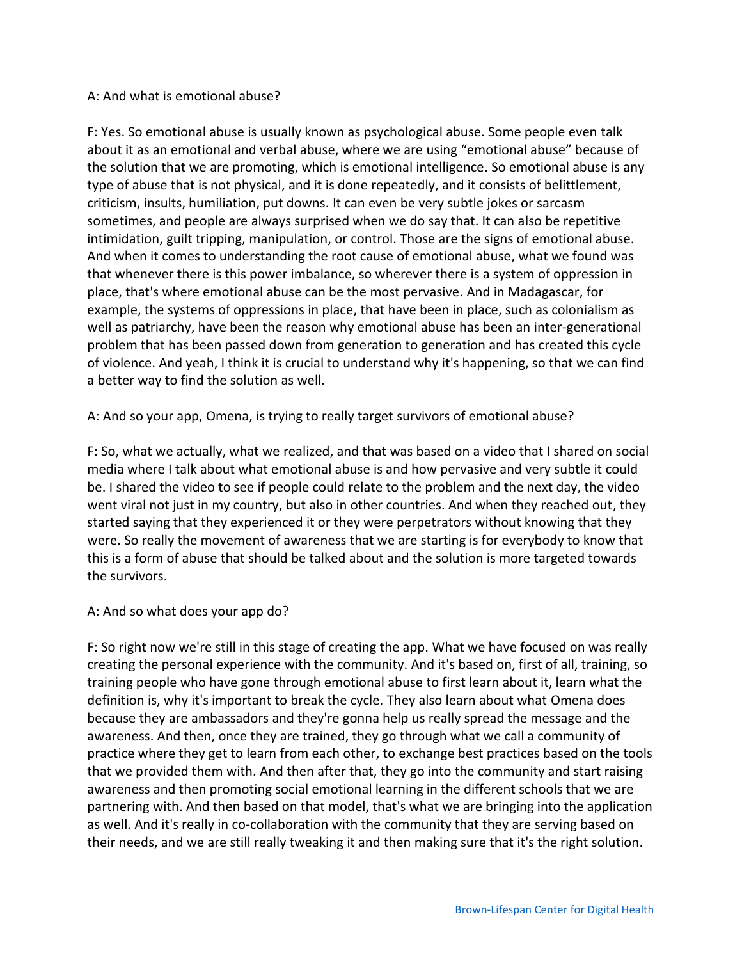## A: And what is emotional abuse?

F: Yes. So emotional abuse is usually known as psychological abuse. Some people even talk about it as an emotional and verbal abuse, where we are using "emotional abuse" because of the solution that we are promoting, which is emotional intelligence. So emotional abuse is any type of abuse that is not physical, and it is done repeatedly, and it consists of belittlement, criticism, insults, humiliation, put downs. It can even be very subtle jokes or sarcasm sometimes, and people are always surprised when we do say that. It can also be repetitive intimidation, guilt tripping, manipulation, or control. Those are the signs of emotional abuse. And when it comes to understanding the root cause of emotional abuse, what we found was that whenever there is this power imbalance, so wherever there is a system of oppression in place, that's where emotional abuse can be the most pervasive. And in Madagascar, for example, the systems of oppressions in place, that have been in place, such as colonialism as well as patriarchy, have been the reason why emotional abuse has been an inter-generational problem that has been passed down from generation to generation and has created this cycle of violence. And yeah, I think it is crucial to understand why it's happening, so that we can find a better way to find the solution as well.

A: And so your app, Omena, is trying to really target survivors of emotional abuse?

F: So, what we actually, what we realized, and that was based on a video that I shared on social media where I talk about what emotional abuse is and how pervasive and very subtle it could be. I shared the video to see if people could relate to the problem and the next day, the video went viral not just in my country, but also in other countries. And when they reached out, they started saying that they experienced it or they were perpetrators without knowing that they were. So really the movement of awareness that we are starting is for everybody to know that this is a form of abuse that should be talked about and the solution is more targeted towards the survivors.

## A: And so what does your app do?

F: So right now we're still in this stage of creating the app. What we have focused on was really creating the personal experience with the community. And it's based on, first of all, training, so training people who have gone through emotional abuse to first learn about it, learn what the definition is, why it's important to break the cycle. They also learn about what Omena does because they are ambassadors and they're gonna help us really spread the message and the awareness. And then, once they are trained, they go through what we call a community of practice where they get to learn from each other, to exchange best practices based on the tools that we provided them with. And then after that, they go into the community and start raising awareness and then promoting social emotional learning in the different schools that we are partnering with. And then based on that model, that's what we are bringing into the application as well. And it's really in co-collaboration with the community that they are serving based on their needs, and we are still really tweaking it and then making sure that it's the right solution.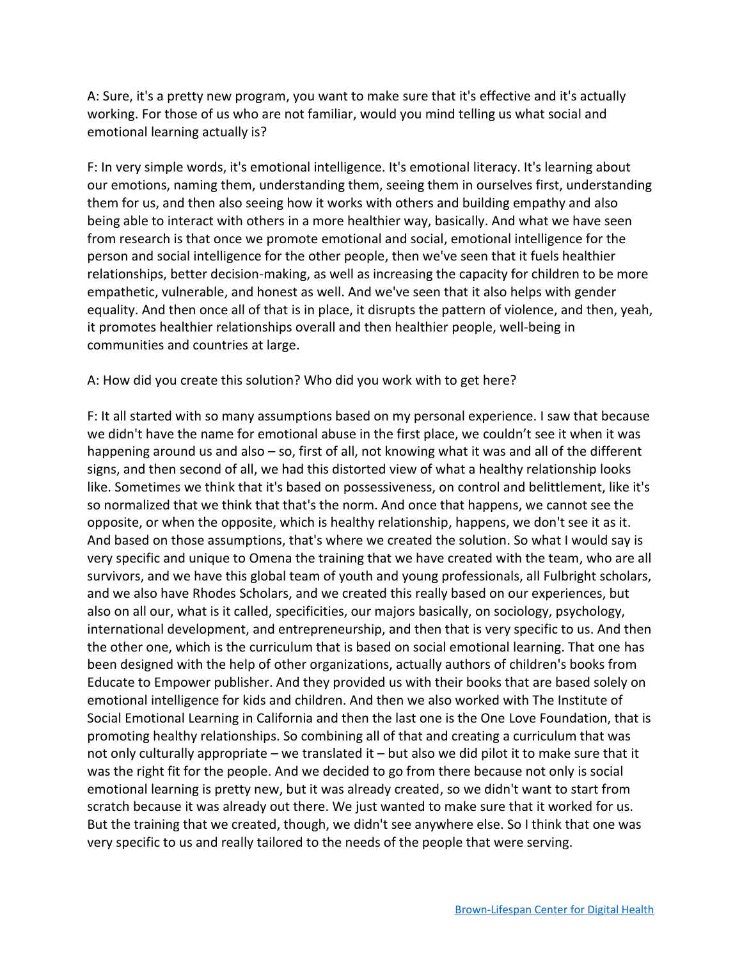A: Sure, it's a pretty new program, you want to make sure that it's effective and it's actually working. For those of us who are not familiar, would you mind telling us what social and emotional learning actually is?

F: In very simple words, it's emotional intelligence. It's emotional literacy. It's learning about our emotions, naming them, understanding them, seeing them in ourselves first, understanding them for us, and then also seeing how it works with others and building empathy and also being able to interact with others in a more healthier way, basically. And what we have seen from research is that once we promote emotional and social, emotional intelligence for the person and social intelligence for the other people, then we've seen that it fuels healthier relationships, better decision-making, as well as increasing the capacity for children to be more empathetic, vulnerable, and honest as well. And we've seen that it also helps with gender equality. And then once all of that is in place, it disrupts the pattern of violence, and then, yeah, it promotes healthier relationships overall and then healthier people, well-being in communities and countries at large.

A: How did you create this solution? Who did you work with to get here?

F: It all started with so many assumptions based on my personal experience. I saw that because we didn't have the name for emotional abuse in the first place, we couldn't see it when it was happening around us and also – so, first of all, not knowing what it was and all of the different signs, and then second of all, we had this distorted view of what a healthy relationship looks like. Sometimes we think that it's based on possessiveness, on control and belittlement, like it's so normalized that we think that that's the norm. And once that happens, we cannot see the opposite, or when the opposite, which is healthy relationship, happens, we don't see it as it. And based on those assumptions, that's where we created the solution. So what I would say is very specific and unique to Omena the training that we have created with the team, who are all survivors, and we have this global team of youth and young professionals, all Fulbright scholars, and we also have Rhodes Scholars, and we created this really based on our experiences, but also on all our, what is it called, specificities, our majors basically, on sociology, psychology, international development, and entrepreneurship, and then that is very specific to us. And then the other one, which is the curriculum that is based on social emotional learning. That one has been designed with the help of other organizations, actually authors of children's books from Educate to Empower publisher. And they provided us with their books that are based solely on emotional intelligence for kids and children. And then we also worked with The Institute of Social Emotional Learning in California and then the last one is the One Love Foundation, that is promoting healthy relationships. So combining all of that and creating a curriculum that was not only culturally appropriate – we translated it – but also we did pilot it to make sure that it was the right fit for the people. And we decided to go from there because not only is social emotional learning is pretty new, but it was already created, so we didn't want to start from scratch because it was already out there. We just wanted to make sure that it worked for us. But the training that we created, though, we didn't see anywhere else. So I think that one was very specific to us and really tailored to the needs of the people that were serving.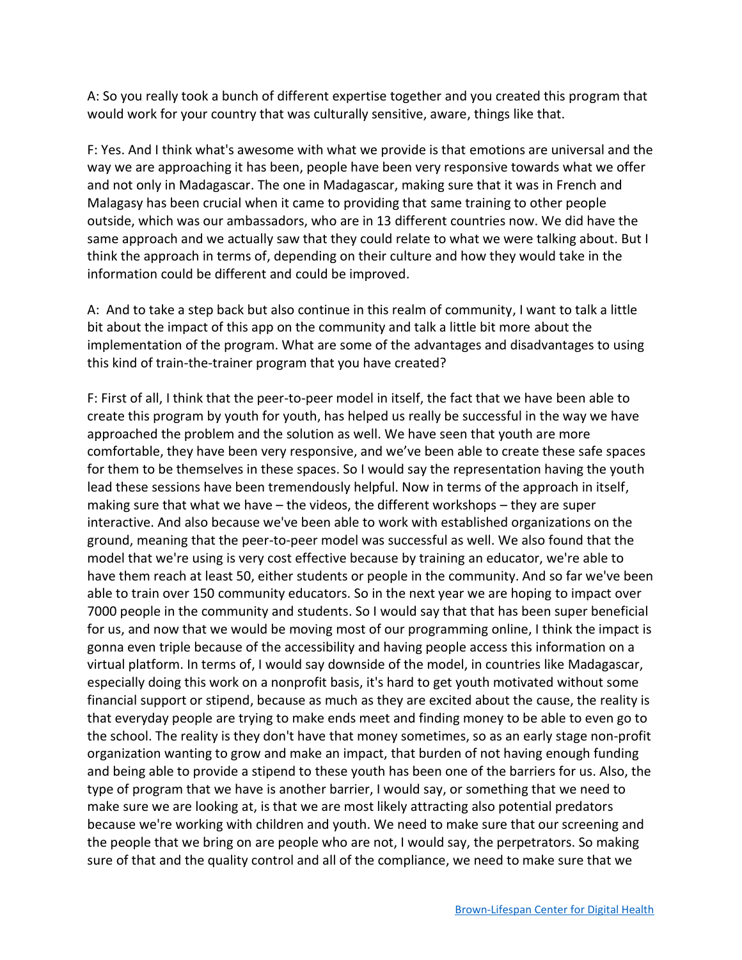A: So you really took a bunch of different expertise together and you created this program that would work for your country that was culturally sensitive, aware, things like that.

F: Yes. And I think what's awesome with what we provide is that emotions are universal and the way we are approaching it has been, people have been very responsive towards what we offer and not only in Madagascar. The one in Madagascar, making sure that it was in French and Malagasy has been crucial when it came to providing that same training to other people outside, which was our ambassadors, who are in 13 different countries now. We did have the same approach and we actually saw that they could relate to what we were talking about. But I think the approach in terms of, depending on their culture and how they would take in the information could be different and could be improved.

A: And to take a step back but also continue in this realm of community, I want to talk a little bit about the impact of this app on the community and talk a little bit more about the implementation of the program. What are some of the advantages and disadvantages to using this kind of train-the-trainer program that you have created?

F: First of all, I think that the peer-to-peer model in itself, the fact that we have been able to create this program by youth for youth, has helped us really be successful in the way we have approached the problem and the solution as well. We have seen that youth are more comfortable, they have been very responsive, and we've been able to create these safe spaces for them to be themselves in these spaces. So I would say the representation having the youth lead these sessions have been tremendously helpful. Now in terms of the approach in itself, making sure that what we have – the videos, the different workshops – they are super interactive. And also because we've been able to work with established organizations on the ground, meaning that the peer-to-peer model was successful as well. We also found that the model that we're using is very cost effective because by training an educator, we're able to have them reach at least 50, either students or people in the community. And so far we've been able to train over 150 community educators. So in the next year we are hoping to impact over 7000 people in the community and students. So I would say that that has been super beneficial for us, and now that we would be moving most of our programming online, I think the impact is gonna even triple because of the accessibility and having people access this information on a virtual platform. In terms of, I would say downside of the model, in countries like Madagascar, especially doing this work on a nonprofit basis, it's hard to get youth motivated without some financial support or stipend, because as much as they are excited about the cause, the reality is that everyday people are trying to make ends meet and finding money to be able to even go to the school. The reality is they don't have that money sometimes, so as an early stage non-profit organization wanting to grow and make an impact, that burden of not having enough funding and being able to provide a stipend to these youth has been one of the barriers for us. Also, the type of program that we have is another barrier, I would say, or something that we need to make sure we are looking at, is that we are most likely attracting also potential predators because we're working with children and youth. We need to make sure that our screening and the people that we bring on are people who are not, I would say, the perpetrators. So making sure of that and the quality control and all of the compliance, we need to make sure that we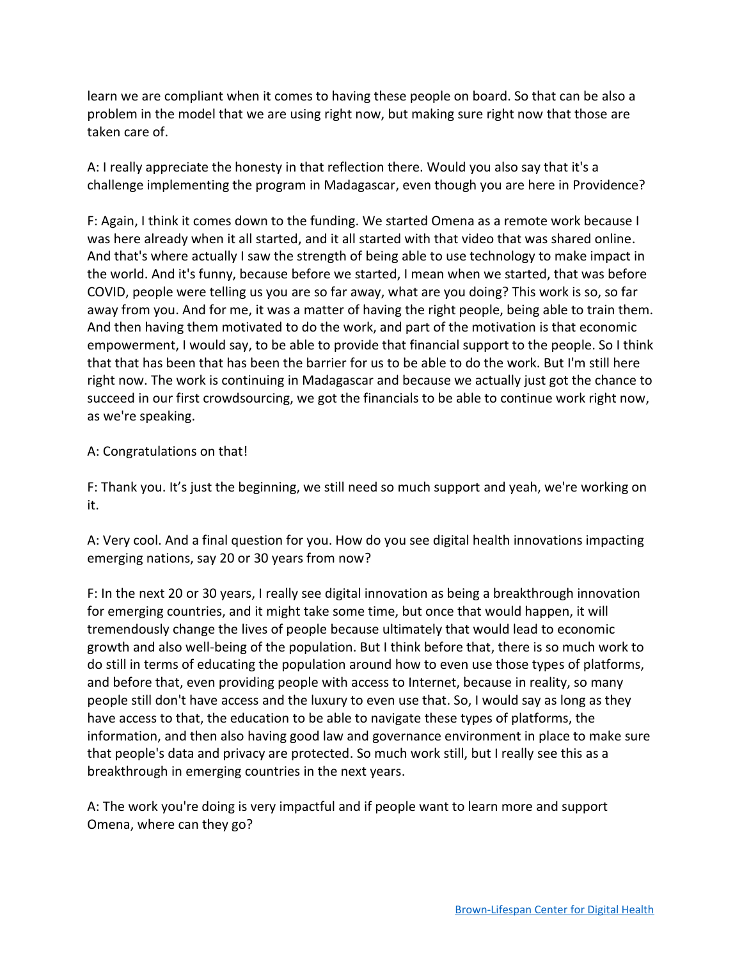learn we are compliant when it comes to having these people on board. So that can be also a problem in the model that we are using right now, but making sure right now that those are taken care of.

A: I really appreciate the honesty in that reflection there. Would you also say that it's a challenge implementing the program in Madagascar, even though you are here in Providence?

F: Again, I think it comes down to the funding. We started Omena as a remote work because I was here already when it all started, and it all started with that video that was shared online. And that's where actually I saw the strength of being able to use technology to make impact in the world. And it's funny, because before we started, I mean when we started, that was before COVID, people were telling us you are so far away, what are you doing? This work is so, so far away from you. And for me, it was a matter of having the right people, being able to train them. And then having them motivated to do the work, and part of the motivation is that economic empowerment, I would say, to be able to provide that financial support to the people. So I think that that has been that has been the barrier for us to be able to do the work. But I'm still here right now. The work is continuing in Madagascar and because we actually just got the chance to succeed in our first crowdsourcing, we got the financials to be able to continue work right now, as we're speaking.

## A: Congratulations on that!

F: Thank you. It's just the beginning, we still need so much support and yeah, we're working on it.

A: Very cool. And a final question for you. How do you see digital health innovations impacting emerging nations, say 20 or 30 years from now?

F: In the next 20 or 30 years, I really see digital innovation as being a breakthrough innovation for emerging countries, and it might take some time, but once that would happen, it will tremendously change the lives of people because ultimately that would lead to economic growth and also well-being of the population. But I think before that, there is so much work to do still in terms of educating the population around how to even use those types of platforms, and before that, even providing people with access to Internet, because in reality, so many people still don't have access and the luxury to even use that. So, I would say as long as they have access to that, the education to be able to navigate these types of platforms, the information, and then also having good law and governance environment in place to make sure that people's data and privacy are protected. So much work still, but I really see this as a breakthrough in emerging countries in the next years.

A: The work you're doing is very impactful and if people want to learn more and support Omena, where can they go?